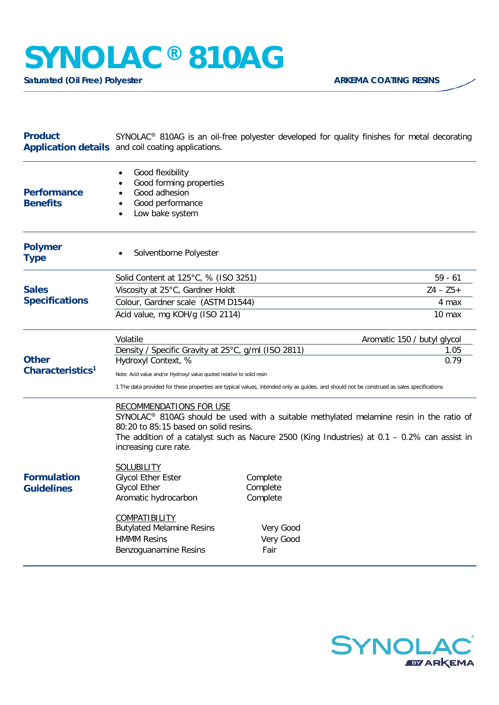## **SYNOLAC® 810AG**

**Saturated (Oil Free) Polyester ARKEMA COATING RESINS** 

| <b>Product</b>                               | Application details and coil coating applications.                                                                                                                                                                                                                                                         | SYNOLAC <sup>®</sup> 810AG is an oil-free polyester developed for quality finishes for metal decorating |                             |
|----------------------------------------------|------------------------------------------------------------------------------------------------------------------------------------------------------------------------------------------------------------------------------------------------------------------------------------------------------------|---------------------------------------------------------------------------------------------------------|-----------------------------|
| <b>Performance</b><br><b>Benefits</b>        | Good flexibility<br>Good forming properties<br>Good adhesion<br>Good performance<br>Low bake system                                                                                                                                                                                                        |                                                                                                         |                             |
| <b>Polymer</b><br><b>Type</b>                | Solventborne Polyester                                                                                                                                                                                                                                                                                     |                                                                                                         |                             |
| <b>Sales</b><br><b>Specifications</b>        | Solid Content at 125°C, % (ISO 3251)                                                                                                                                                                                                                                                                       |                                                                                                         | $59 - 61$                   |
|                                              | Viscosity at 25°C, Gardner Holdt                                                                                                                                                                                                                                                                           |                                                                                                         | $Z4 - Z5 +$                 |
|                                              | Colour, Gardner scale (ASTM D1544)                                                                                                                                                                                                                                                                         |                                                                                                         | 4 max                       |
|                                              | Acid value, mg KOH/g (ISO 2114)                                                                                                                                                                                                                                                                            |                                                                                                         | 10 max                      |
| <b>Other</b><br>Characteristics <sup>1</sup> | Volatile                                                                                                                                                                                                                                                                                                   |                                                                                                         | Aromatic 150 / butyl glycol |
|                                              | Density / Specific Gravity at 25°C, g/ml (ISO 2811)                                                                                                                                                                                                                                                        |                                                                                                         | 1.05<br>0.79                |
|                                              | Hydroxyl Context, %                                                                                                                                                                                                                                                                                        |                                                                                                         |                             |
|                                              | Note: Acid value and/or Hydroxyl value quoted relative to solid resin<br>1 The data provided for these properties are typical values, intended only as guides, and should not be construed as sales specifications                                                                                         |                                                                                                         |                             |
|                                              | <b>RECOMMENDATIONS FOR USE</b><br>SYNOLAC <sup>®</sup> 810AG should be used with a suitable methylated melamine resin in the ratio of<br>80:20 to 85:15 based on solid resins.<br>The addition of a catalyst such as Nacure 2500 (King Industries) at $0.1 - 0.2\%$ can assist in<br>increasing cure rate. |                                                                                                         |                             |
| <b>Formulation</b><br><b>Guidelines</b>      | <b>SOLUBILITY</b><br><b>Glycol Ether Ester</b><br><b>Glycol Ether</b><br>Aromatic hydrocarbon<br><b>COMPATIBILITY</b><br><b>Butylated Melamine Resins</b><br><b>HMMM Resins</b><br>Benzoguanamine Resins                                                                                                   | Complete<br>Complete<br>Complete<br>Very Good<br>Very Good<br>Fair                                      |                             |
|                                              |                                                                                                                                                                                                                                                                                                            |                                                                                                         |                             |